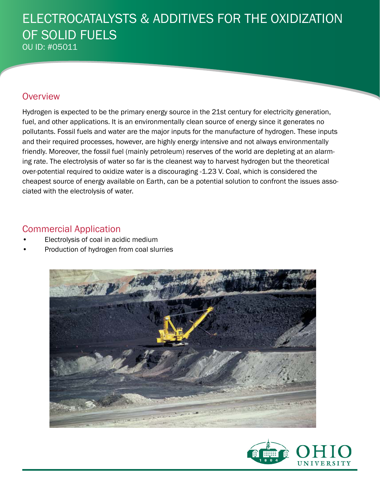### ELECTROCATALYSTS & ADDITIVES FOR THE OXIDIZATION OF SOLID FUELS OU ID: #05011

#### **Overview**

Hydrogen is expected to be the primary energy source in the 21st century for electricity generation, fuel, and other applications. It is an environmentally clean source of energy since it generates no pollutants. Fossil fuels and water are the major inputs for the manufacture of hydrogen. These inputs and their required processes, however, are highly energy intensive and not always environmentally friendly. Moreover, the fossil fuel (mainly petroleum) reserves of the world are depleting at an alarming rate. The electrolysis of water so far is the cleanest way to harvest hydrogen but the theoretical over-potential required to oxidize water is a discouraging -1.23 V. Coal, which is considered the cheapest source of energy available on Earth, can be a potential solution to confront the issues associated with the electrolysis of water.

#### Commercial Application

- Electrolysis of coal in acidic medium
- Production of hydrogen from coal slurries